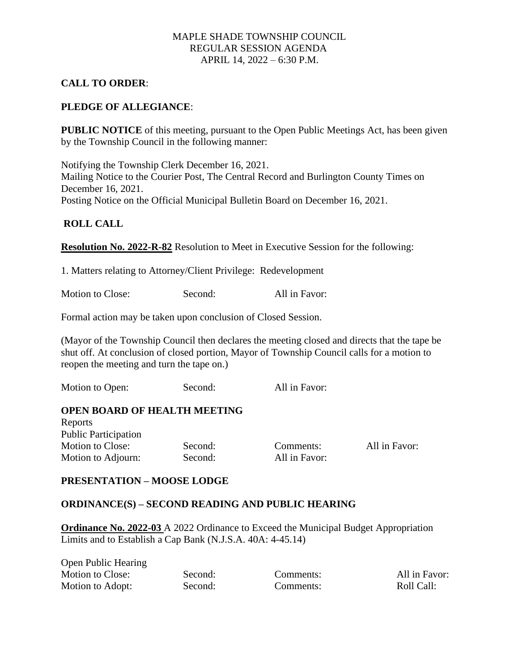### MAPLE SHADE TOWNSHIP COUNCIL REGULAR SESSION AGENDA APRIL 14, 2022 – 6:30 P.M.

# **CALL TO ORDER**:

### **PLEDGE OF ALLEGIANCE**:

**PUBLIC NOTICE** of this meeting, pursuant to the Open Public Meetings Act, has been given by the Township Council in the following manner:

Notifying the Township Clerk December 16, 2021. Mailing Notice to the Courier Post, The Central Record and Burlington County Times on December 16, 2021. Posting Notice on the Official Municipal Bulletin Board on December 16, 2021.

#### **ROLL CALL**

**Resolution No. 2022-R-82** Resolution to Meet in Executive Session for the following:

1. Matters relating to Attorney/Client Privilege: Redevelopment

Motion to Close: Second: All in Favor:

Formal action may be taken upon conclusion of Closed Session.

(Mayor of the Township Council then declares the meeting closed and directs that the tape be shut off. At conclusion of closed portion, Mayor of Township Council calls for a motion to reopen the meeting and turn the tape on.)

Motion to Open: Second: All in Favor:

#### **OPEN BOARD OF HEALTH MEETING**

| Reports                     |         |               |               |
|-----------------------------|---------|---------------|---------------|
| <b>Public Participation</b> |         |               |               |
| Motion to Close:            | Second: | Comments:     | All in Favor: |
| Motion to Adjourn:          | Second: | All in Favor: |               |

#### **PRESENTATION – MOOSE LODGE**

#### **ORDINANCE(S) – SECOND READING AND PUBLIC HEARING**

**Ordinance No. 2022-03** A 2022 Ordinance to Exceed the Municipal Budget Appropriation Limits and to Establish a Cap Bank (N.J.S.A. 40A: 4-45.14)

Open Public Hearing Motion to Close: Second: Comments: All in Favor: Motion to Adopt: Second: Comments: Roll Call: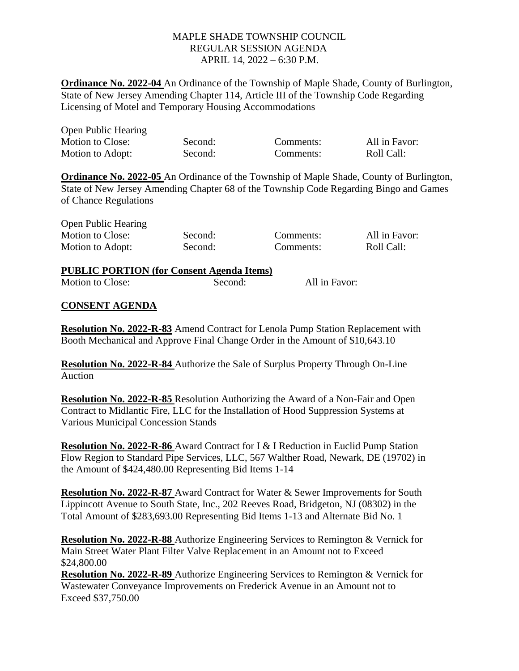# MAPLE SHADE TOWNSHIP COUNCIL REGULAR SESSION AGENDA APRIL 14, 2022 – 6:30 P.M.

**Ordinance No. 2022-04** An Ordinance of the Township of Maple Shade, County of Burlington, State of New Jersey Amending Chapter 114, Article III of the Township Code Regarding Licensing of Motel and Temporary Housing Accommodations

| <b>Open Public Hearing</b> |         |           |               |
|----------------------------|---------|-----------|---------------|
| Motion to Close:           | Second: | Comments: | All in Favor: |
| Motion to Adopt:           | Second: | Comments: | Roll Call:    |

**Ordinance No. 2022-05** An Ordinance of the Township of Maple Shade, County of Burlington, State of New Jersey Amending Chapter 68 of the Township Code Regarding Bingo and Games of Chance Regulations

Open Public Hearing Motion to Close: Second: Comments: All in Favor: Motion to Adopt: Second: Comments: Roll Call:

**PUBLIC PORTION (for Consent Agenda Items)** Motion to Close: Second: All in Favor:

### **CONSENT AGENDA**

**Resolution No. 2022-R-83** Amend Contract for Lenola Pump Station Replacement with Booth Mechanical and Approve Final Change Order in the Amount of \$10,643.10

**Resolution No. 2022-R-84** Authorize the Sale of Surplus Property Through On-Line Auction

**Resolution No. 2022-R-85** Resolution Authorizing the Award of a Non-Fair and Open Contract to Midlantic Fire, LLC for the Installation of Hood Suppression Systems at Various Municipal Concession Stands

**Resolution No. 2022-R-86** Award Contract for I & I Reduction in Euclid Pump Station Flow Region to Standard Pipe Services, LLC, 567 Walther Road, Newark, DE (19702) in the Amount of \$424,480.00 Representing Bid Items 1-14

**Resolution No. 2022-R-87** Award Contract for Water & Sewer Improvements for South Lippincott Avenue to South State, Inc., 202 Reeves Road, Bridgeton, NJ (08302) in the Total Amount of \$283,693.00 Representing Bid Items 1-13 and Alternate Bid No. 1

**Resolution No. 2022-R-88** Authorize Engineering Services to Remington & Vernick for Main Street Water Plant Filter Valve Replacement in an Amount not to Exceed \$24,800.00

**Resolution No. 2022-R-89** Authorize Engineering Services to Remington & Vernick for Wastewater Conveyance Improvements on Frederick Avenue in an Amount not to Exceed \$37,750.00